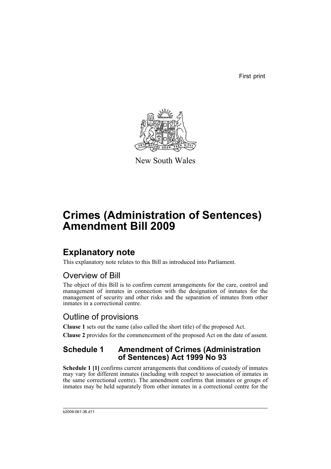First print



New South Wales

# **Crimes (Administration of Sentences) Amendment Bill 2009**

# **Explanatory note**

This explanatory note relates to this Bill as introduced into Parliament.

## Overview of Bill

The object of this Bill is to confirm current arrangements for the care, control and management of inmates in connection with the designation of inmates for the management of security and other risks and the separation of inmates from other inmates in a correctional centre.

## Outline of provisions

**Clause 1** sets out the name (also called the short title) of the proposed Act. **Clause 2** provides for the commencement of the proposed Act on the date of assent.

### **Schedule 1 Amendment of Crimes (Administration of Sentences) Act 1999 No 93**

**Schedule 1 [1]** confirms current arrangements that conditions of custody of inmates may vary for different inmates (including with respect to association of inmates in the same correctional centre). The amendment confirms that inmates or groups of inmates may be held separately from other inmates in a correctional centre for the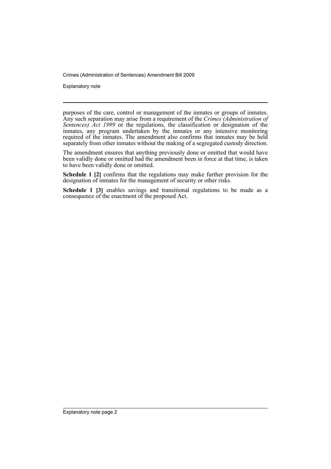Crimes (Administration of Sentences) Amendment Bill 2009

Explanatory note

purposes of the care, control or management of the inmates or groups of inmates. Any such separation may arise from a requirement of the *Crimes (Administration of Sentences) Act 1999* or the regulations, the classification or designation of the inmates, any program undertaken by the inmates or any intensive monitoring required of the inmates. The amendment also confirms that inmates may be held separately from other inmates without the making of a segregated custody direction.

The amendment ensures that anything previously done or omitted that would have been validly done or omitted had the amendment been in force at that time, is taken to have been validly done or omitted.

**Schedule 1 [2]** confirms that the regulations may make further provision for the designation of inmates for the management of security or other risks.

**Schedule 1 [3]** enables savings and transitional regulations to be made as a consequence of the enactment of the proposed Act.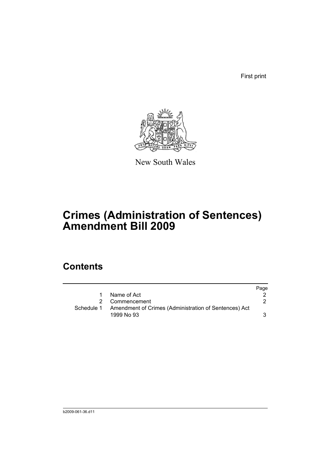First print



New South Wales

# **Crimes (Administration of Sentences) Amendment Bill 2009**

## **Contents**

|              |                                                       | Page |
|--------------|-------------------------------------------------------|------|
| $\mathbf{1}$ | Name of Act                                           |      |
|              | 2 Commencement                                        |      |
| Schedule 1   | Amendment of Crimes (Administration of Sentences) Act |      |
|              | 1999 No 93                                            |      |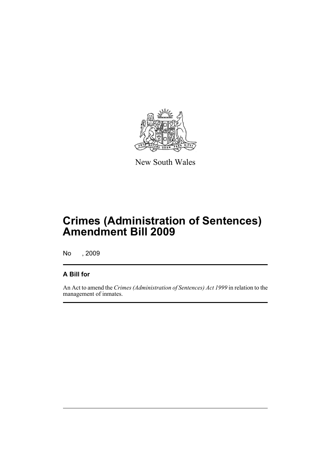

New South Wales

# **Crimes (Administration of Sentences) Amendment Bill 2009**

No , 2009

### **A Bill for**

An Act to amend the *Crimes (Administration of Sentences) Act 1999* in relation to the management of inmates.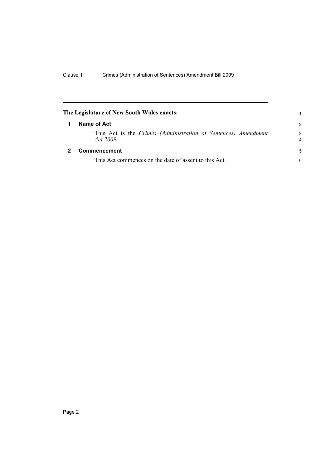<span id="page-5-1"></span><span id="page-5-0"></span>

| The Legislature of New South Wales enacts: |                                                                            | 1             |
|--------------------------------------------|----------------------------------------------------------------------------|---------------|
| 1                                          | Name of Act                                                                | $\mathcal{P}$ |
|                                            | This Act is the Crimes (Administration of Sentences) Amendment<br>Act 2009 | 3<br>4        |
|                                            | <b>Commencement</b>                                                        | 5             |
|                                            | This Act commences on the date of assent to this Act.                      | 6             |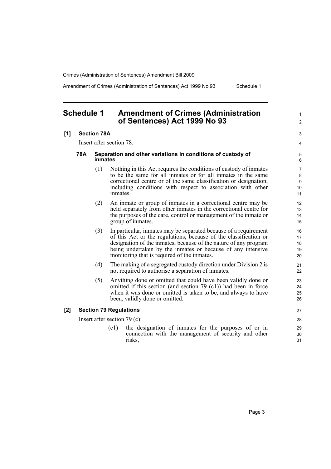Crimes (Administration of Sentences) Amendment Bill 2009

Amendment of Crimes (Administration of Sentences) Act 1999 No 93 Schedule 1

<span id="page-6-0"></span>**Schedule 1 Amendment of Crimes (Administration of Sentences) Act 1999 No 93**

**[1] Section 78A**

Insert after section 78:

#### **78A Separation and other variations in conditions of custody of inmates**

- (1) Nothing in this Act requires the conditions of custody of inmates to be the same for all inmates or for all inmates in the same correctional centre or of the same classification or designation, including conditions with respect to association with other inmates.
- (2) An inmate or group of inmates in a correctional centre may be held separately from other inmates in the correctional centre for the purposes of the care, control or management of the inmate or group of inmates.
- (3) In particular, inmates may be separated because of a requirement of this Act or the regulations, because of the classification or designation of the inmates, because of the nature of any program being undertaken by the inmates or because of any intensive monitoring that is required of the inmates.
- (4) The making of a segregated custody direction under Division 2 is not required to authorise a separation of inmates.
- (5) Anything done or omitted that could have been validly done or omitted if this section (and section 79 (c1)) had been in force when it was done or omitted is taken to be, and always to have been, validly done or omitted.

#### **[2] Section 79 Regulations**

Insert after section 79 (c):

(c1) the designation of inmates for the purposes of or in connection with the management of security and other risks,

1  $\mathfrak{p}$ 

 $27$ 

28

29 30 31